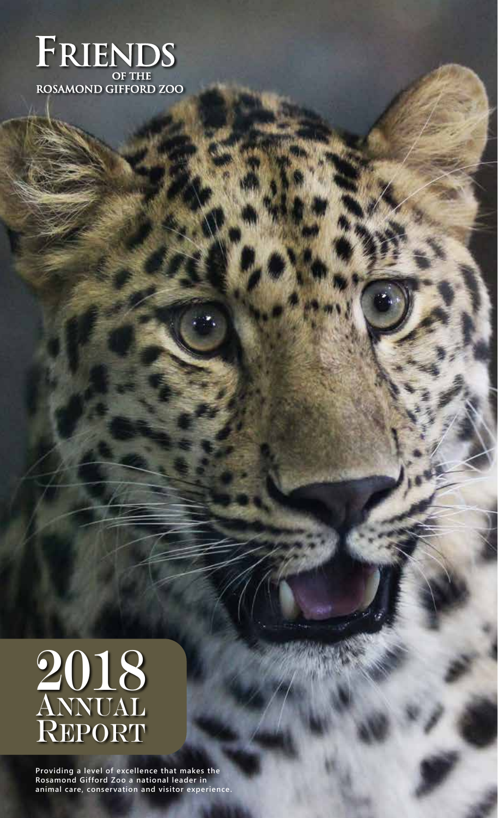



**Providing a level of excellence that makes the Rosamond Gifford Zoo a national leader in animal care, conservation and visitor experience.**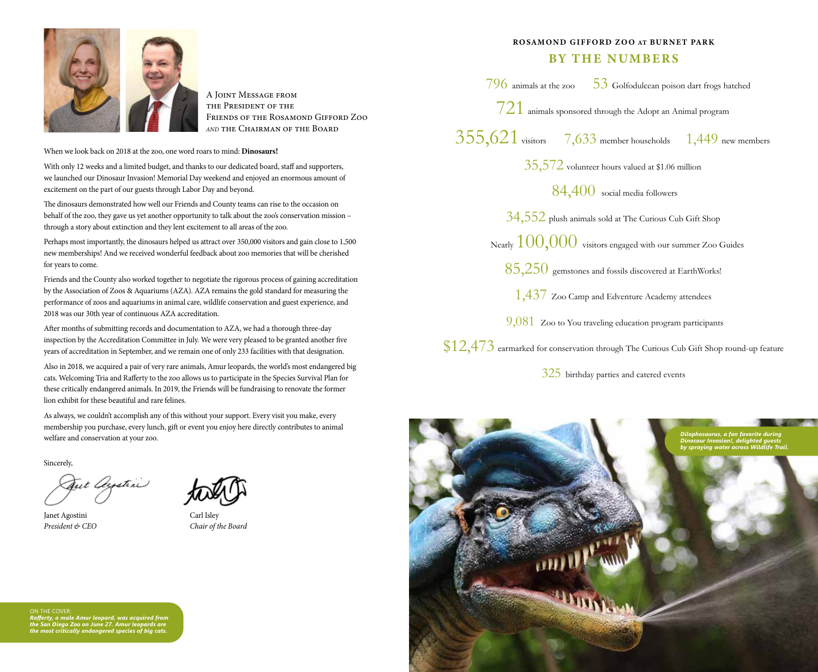

A Joint Message from the President of the Friends of the Rosamond Gifford Zoo *and* the Chairman of the Board

When we look back on 2018 at the zoo, one word roars to mind: **Dinosaurs!** 

With only 12 weeks and a limited budget, and thanks to our dedicated board, staff and supporters, we launched our Dinosaur Invasion! Memorial Day weekend and enjoyed an enormous amount of excitement on the part of our guests through Labor Day and beyond.

The dinosaurs demonstrated how well our Friends and County teams can rise to the occasion on behalf of the zoo, they gave us yet another opportunity to talk about the zoo's conservation mission through a story about extinction and they lent excitement to all areas of the zoo.

Perhaps most importantly, the dinosaurs helped us attract over 350,000 visitors and gain close to 1,500 new memberships! And we received wonderful feedback about zoo memories that will be cherished for years to come.

Friends and the County also worked together to negotiate the rigorous process of gaining accreditation by the Association of Zoos & Aquariums (AZA). AZA remains the gold standard for measuring the performance of zoos and aquariums in animal care, wildlife conservation and guest experience, and 2018 was our 30th year of continuous AZA accreditation.

After months of submitting records and documentation to AZA, we had a thorough three-day inspection by the Accreditation Committee in July. We were very pleased to be granted another five years of accreditation in September, and we remain one of only 233 facilities with that designation.

Also in 2018, we acquired a pair of very rare animals, Amur leopards, the world's most endangered big cats. Welcoming Tria and Rafferty to the zoo allows us to participate in the Species Survival Plan for these critically endangered animals. In 2019, the Friends will be fundraising to renovate the former lion exhibit for these beautiful and rare felines.

As always, we couldn't accomplish any of this without your support. Every visit you make, every membership you purchase, every lunch, gift or event you enjoy here directly contributes to animal welfare and conservation at your zoo.

Sincerely,

Gut Ocystin

Janet Agostini Carl Isley



*President & CEO Chair of the Board*

# BY THE NUMBERS

 $796$  animals at the zoo  $53$  Golfodulcean poison dart frogs hatched

ROSAMOND GIFFORD ZOO AT BURNET PARK

 $721$  animals sponsored through the Adopt an Animal program

355,621 visitors 7,633 member households 1,449 new members

35,572 volunteer hours valued at \$1.06 million

84,400 social media followers

34,552 plush animals sold at The Curious Cub Gift Shop

Nearly  $100,000$  visitors engaged with our summer Zoo Guides

 $85,250$  gemstones and fossils discovered at EarthWorks!

1,437 Zoo Camp and Edventure Academy attendees

9,081 Zoo to You traveling education program participants

 $$12,473$  earmarked for conservation through The Curious Cub Gift Shop round-up feature

325 birthday parties and catered events



ON THE COVER *Rafferty, a male Amur leopard, was acquired from the San Diego Zoo on June 27. Amur leopards are the most critically endangered species of big cats.*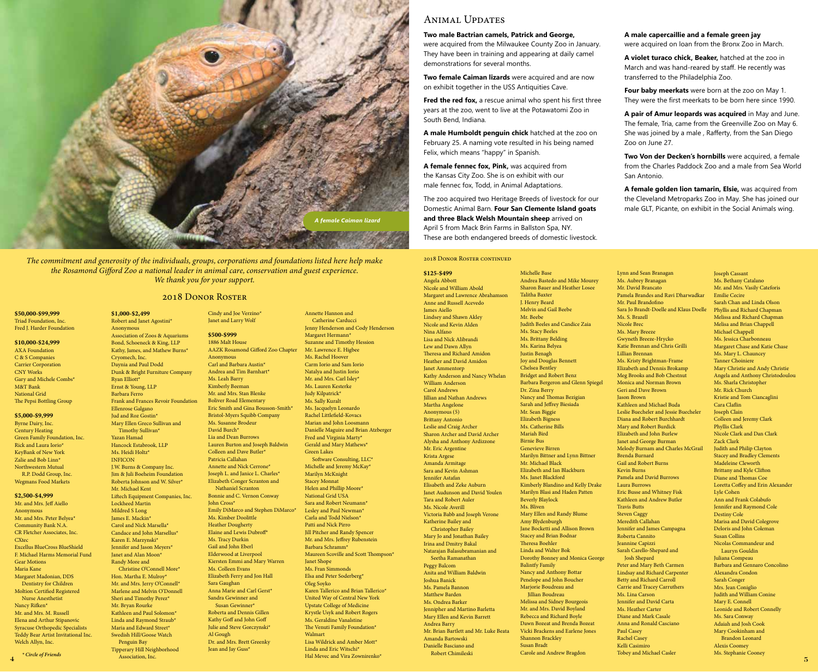

*The commitment and generosity of the individuals, groups, corporations and foundations listed here help make the Rosamond Gifford Zoo a national leader in animal care, conservation and guest experience. We thank you for your support.* 

#### \$50,000-\$99,999 Triad Foundation, Inc. Fred J. Harder Foundation

# \$10,000-\$24,999

AXA Foundation C & S Companies Carrier Corporation CNY Works Gary and Michele Combs\* M&T Bank National Grid The Pepsi Bottling Group

# \$5,000-\$9,999

Byrne Dairy, Inc. Century Heating Green Family Foundation, Inc. Rick and Laura Iorio\* KeyBank of New York Zalie and Bob Linn\* Northwestern Mutual R.P. Dodd Group, Inc. Wegmans Food Markets

# \$2,500-\$4,999

Mr. and Mrs. Jeff Aiello Anonymous Mr. and Mrs. Peter Belyea<sup>\*</sup> Community Bank N.A. CR Fletcher Associates, Inc. CXtec Excellus BlueCross BlueShield F. Michael Harms Memorial Fund Gear Motions Maria Kane Margaret Madonian, DDS Dentistry for Children Moltion Certified Registered Nurse Anesthetist Nancy Rifken\* Mr. and Mrs. M. Russell Elena and Arthur Stipanovic Syracuse Orthopedic Specialists Teddy Bear Artist Invitational Inc. Welch Allyn, Inc.

4

Jud and Roz Gostin\* Mary Ellen Greco Sullivan and Timothy Sullivan\* Yazan Hamad Hancock Estabrook, LLP Ms. Heidi Holtz\* INFICON J.W. Burns & Company Inc. Jim & Juli Boeheim Foundation Roberta Johnson and W. Silver\* Mr. Michael Kent Liftech Equipment Companies, Inc. Lockheed Martin Mildred S Long James E. Mackin\* Carol and Nick Marsella\* Candace and John Marsellus\* Karen E. Marzynski\* Jennifer and Jason Meyers\* Janet and Alan Moon<sup>\*</sup> Randy More and Christine O'Connell More\* Hon. Martha E. Mulroy\* Mr. and Mrs. Jerry O'Connell\* Marlene and Melvin O'Donnell Sheri and Timothy Perez<sup>\*</sup> Mr. Bryan Rourke Kathleen and Paul Solomon\* Linda and Raymond Straub\* Maria and Edward Street\* Swedish Hill/Goose Watch Penguin Bay Tipperary Hill Neighborhood Association, Inc. Hal Mevec and Vira Zownirenko\* *\* Circle of Friends* 

# 2018 DONOR ROSTER

\$1,000-\$2,499

Anonymous

Cryomech, Inc.

**Ryan Elliott**\* Ernst & Young, LLP Barbara Ferro

Ellenrose Galgano

Robert and Janet Agostini\* Association of Zoos & Aquariums Bond, Schoeneck & King, LLP Kathy, James, and Mathew Burns\* Daynia and Paul Dodd Dunk & Bright Furniture Company Frank and Frances Revoir Foundation Cindy and Joe Verzino\* Janet and Larry Wolf \$500-\$999 1886 Malt House AAZK Rosamond Gifford Zoo Chapter Anonymous Carl and Barbara Austin\* Andrea and Tim Barnhart\* Ms. Leah Barry Kimberly Beeman Mr. and Mrs. Stan Blenke Boliver Road Elementary Eric Smith and Gina Bousson-Smith\* Bristol-Myers Squibb Company Ms. Susanne Brodeur David Burch\* Lia and Dean Burrows Lauren Burton and Joseph Baldwin Colleen and Dave Butler<sup>\*</sup> Patricia Callahan Annette and Nick Cerrone\* Joseph L. and Janice L. Charles\* Elizabeth Conger Scranton and Nathaniel Scranton Bonnie and C. Vernon Conway John Cross\* Emily DiMarco and Stephen DiMarco\* Ms. Kimber Doolittle Heather Dougherty Elaine and Lewis Dubroff\* Ms. Tracy Durkin Gail and John Eberl Elderwood at Liverpool Kiersten Emmi and Mary Warren Ms. Colleen Evans Elizabeth Ferry and Jon Hall Sara Gaughan Anna Marie and Carl Gerst\* Sandra Gewinner and Susan Gewinner\* Roberta and Dennis Gillen Kathy Goff and John Goff Julie and Steve Gorczynski\* Al Gough Dr. and Mrs. Brett Greenky Jean and Jay Guss\*

Annette Hannon and Catherine Carducci Jenny Henderson and Cody Henderson Margaret Hermann\* Suzanne and Timothy Hession Mr. Lawrence E. Higbee Ms. Rachel Hoover Carm Iorio and Sam Iorio Natalya and Justin Iorio Mr. and Mrs. Carl Isley\* Ms. Lauren Kesterke Judy Kilpatrick\* Ms. Sally Kuralt Ms. Jacquelyn Leonardo Rachel Littlefield-Kovacs Marian and John Loosmann Danielle Maguire and Brian Atzberger Fred and Virginia Marty\* Gerald and Mary Mathews\* Green Lakes Software Consulting, LLC\* Michelle and Jeremy McKay\* Marilyn McKnight Stacey Monnat Helen and Phillip Moore\* National Grid USA Sara and Robert Neumann\* Lesley and Paul Newman\* Carla and Todd Nielson\* Patti and Nick Pirro Jill Pitcher and Randy Spencer Mr. and Mrs. Jeffrey Rubenstein Barbara Schramm\* Maureen Scoville and Scott Thompson\* Janet Shope Ms. Fran Simmonds Elsa and Peter Soderberg\* Oleg Soyko Karen Tallerico and Brian Tallerico\* United Way of Central New York Upstate College of Medicine Krystle Usyk and Robert Rogers Ms. Geraldine Vanalstine The Venuti Family Foundation\* Walmart Lisa Wildrick and Amber Mott\* Linda and Eric Witschi\*

# Animal Updates

# **Two male Bactrian camels, Patrick and George,**

were acquired from the Milwaukee County Zoo in January. They have been in training and appearing at daily camel demonstrations for several months.

**Two female Caiman lizards** were acquired and are now on exhibit together in the USS Antiquities Cave.

Fred the red fox, a rescue animal who spent his first three years at the zoo, went to live at the Potawatomi Zoo in South Bend, Indiana.

**A male Humboldt penguin chick** hatched at the zoo on February 25. A naming vote resulted in his being named Felix, which means "happy" in Spanish.

**A female fennec fox, Pink,** was acquired from the Kansas City Zoo. She is on exhibit with our male fennec fox, Todd, in Animal Adaptations.

The zoo acquired two Heritage Breeds of livestock for our Domestic Animal Barn. **Four San Clemente Island goats and three Black Welsh Mountain sheep** arrived on April 5 from Mack Brin Farms in Ballston Spa, NY. These are both endangered breeds of domestic livestock.

# 2018 DONOR ROSTER CONTINUED

\$125-\$499 Angela Abbott Nicole and William Abold Margaret and Lawrence Abrahamson Anne and Russell Acevedo James Aiello Lindsey and Shawn Akley Nicole and Kevin Alden Nina Alfano Lisa and Nick Alibrandi Lew and Dawn Allyn Theresa and Richard Amidon Heather and David Amidon Janet Ammentorp Kathy Anderson and Nancy Whelan William Anderson Carol Andrews Jillian and Nathan Andrews Martha Angelone Anonymous (5) Brittany Antonio Leslie and Craig Archer Sharon Archer and David Archer Alysha and Anthony Ardizzone Mr. Eric Argentine Krista Argese Amanda Armitage Sara and Kevin Ashman Jennifer Astafan Elisabeth and Zeke Auburn Janet Audunson and David Youlen Tara and Robert Auler Ms. Nicole Averill Victoria Babb and Joseph Verone Katherine Bailey and Christopher Bailey Mary Jo and Jonathan Bailey Irina and Dmitry Bakal Natarajan Balasubramanian and Seetha Ramanathan Peggy Balcom Anita and William Baldwin Joshua Banick Ms. Pamela Bannon Matthew Barden Ms. Ondrea Barker Jennipher and Martino Barletta Mary Ellen and Kevin Barrett Andrea Barry Mr. Brian Bartlett and Mr. Luke Beata Amanda Bartowski Danielle Basciano and Robert Chimileski

Michelle Base Andrea Bastedo and Mike Mourey Sharon Bauer and Heather Losee Talitha Baxter J. Henry Beard Melvin and Gail Beebe Mr. Beebe Judith Beeles and Candice Zaia Ms. Stacy Beeles Ms. Brittany Belding Ms. Karina Belyea Justin Benagh Joy and Douglas Bennett Chelsea Bentley Bridget and Robert Benz Barbara Bergeron and Glenn Spiegel Dr. Zina Berry Nancy and Thomas Bezigian Sarah and Jeffrey Biesiada Mr. Sean Biggie Elizabeth Bigness Ms. Catherine Bills Mariah Bird Birnie Bus Genevieve Birren Marilyn Bittner and Lynn Bittner Mr. Michael Black Elizabeth and Ian Blackburn Ms. Janet Blackford Kimberly Blandino and Kelly Drake Marilyn Blasi and Haden Patten Beverly Blaylock Ms. Bliven Mary Ellen and Randy Blume Amy Blydenburgh Jane Bocketti and Allison Brown Stacey and Brian Bodnar Theresa Boehler Linda and Walter Bok Dorothy Bonney and Monica George Balintfy Family Nancy and Anthony Bottar Penelope and John Boucher Marjorie Boudreau and Jillian Boudreau Melissa and Sidney Bourgeois Mr. and Mrs. David Boyland Rebecca and Richard Boyle Dawn Bozeat and Brenda Bozeat Vicki Brackens and Earlene Jones Shannon Brackley Susan Bradt Carole and Andrew Bragdon

# **A male capercaillie and a female green jay**

were acquired on loan from the Bronx Zoo in March.

**A violet turaco chick, Beaker,** hatched at the zoo in March and was hand-reared by staff. He recently was transferred to the Philadelphia Zoo.

**Four baby meerkats** were born at the zoo on May 1. They were the first meerkats to be born here since 1990.

**A pair of Amur leopards was acquired** in May and June. The female, Tria, came from the Greenville Zoo on May 6. She was joined by a male , Rafferty, from the San Diego Zoo on June 27.

**Two Von der Decken's hornbills** were acquired, a female from the Charles Paddock Zoo and a male from Sea World San Antonio.

**A female golden lion tamarin, Elsie,** was acquired from the Cleveland Metroparks Zoo in May. She has joined our male GLT, Picante, on exhibit in the Social Animals wing.

Lynn and Sean Branagan Ms. Aubrey Branagan Mr. David Brancato Pamela Brandes and Ravi Dharwadkar Mr. Paul Brandofino Sara Jo Brandt-Doelle and Klaus Doelle Ms. S. Brazell Nicole Brec Ms. Mary Breeze Gwyneth Breeze-Hrycko Katie Brennan and Chris Grilli Lillian Brennan Ms. Kristy Brightman-Frame Elizabeth and Dennis Brokamp Meg Brooks and Bob Chestnut Monica and Norman Brown Geri and Dave Brown Jason Brown Kathleen and Michael Buda Leslie Buecheler and Jessie Buecheler Diana and Robert Burchhardt Mary and Robert Burdick Elizabeth and John Burlew Janet and George Burman Melody Burnam and Charles McGrail Brenda Burnard Gail and Robert Burns Kevin Burns Pamela and David Burrows Laura Burrows Eric Busse and Whitney Fisk Kathleen and Andrew Butler Travis Butts Steven Caggy Meredith Callahan Jennifer and James Campagna Roberta Cannito Jeannine Capizzi Sarah Carello-Shepard and Josh Shepard Peter and Mary Beth Carmen Lindsay and Richard Carpenter Betty and Richard Carroll Carrie and Tracey Carruthers Ms. Lina Carson Jennifer and David Carta Ms. Heather Carter Diane and Mark Casale Anna and Ronald Casciano Paul Casey Rachel Casey Kelli Casimiro Tobey and Michael Casler

Joseph Cassant Ms. Bethany Catalano Mr. and Mrs. Vasily Cateforis Emilie Cecire Sarah Chan and Linda Olson Phyllis and Richard Chapman Melissa and Richard Chapman Melisa and Brian Chappell Michael Chappell Ms. Jessica Charbonneau Margaret Chase and Katie Chase Ms. Mary L. Chauncey Tanner Choiniere Mary Christie and Andy Christie Angela and Anthony Christodoulou Ms. Sharla Christopher Mr. Rick Church Kristie and Tom Ciancaglini Cara Claflin Joseph Clain Colleen and Jeremy Clark Phyllis Clark Nicole Clark and Dan Clark Zack Clark Judith and Philip Clayton Stacey and Bradley Clements Madeleine Cleworth Brittany and Kyle Clifton Diane and Thomas Coe Loretta Coffey and Erin Alexander Lyle Cohen Ann and Frank Colabufo Jennifer and Raymond Cole Destiny Cole Marisa and David Colegrove Deloris and John Coleman Susan Collins Nicolas Commandeur and Lauryn Gouldin Juliana Compeau Barbara and Gennaro Concolino Alexandra Condon Sarah Conger Mrs. Jean Coniglio Judith and William Conine Mary E. Connell Leonide and Robert Connelly Ms. Sara Conway Adaiah and Josh Cook Mary Cookinham and Brandon Leonard Alexis Coomey Ms. Stephanie Cooney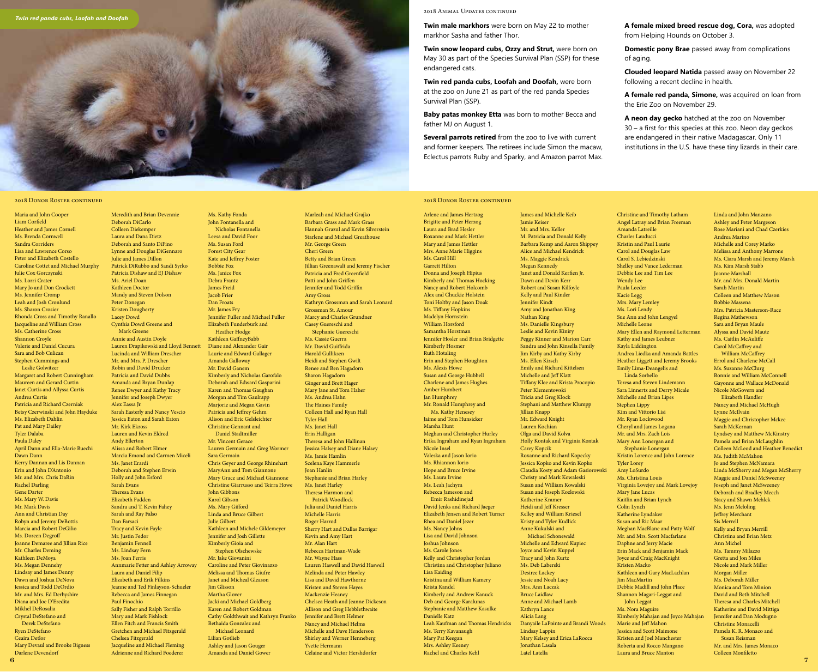2018 Animal Updates continued

**Twin male markhors** were born on May 22 to mother markhor Sasha and father Thor.

**Twin snow leopard cubs, Ozzy and Strut,** were born on May 30 as part of the Species Survival Plan (SSP) for these endangered cats.

**Twin red panda cubs, Loofah and Doofah,** were born at the zoo on June 21 as part of the red panda Species Survival Plan (SSP).

**Baby patas monkey Etta** was born to mother Becca and father MJ on August 1.

**Several parrots retired** from the zoo to live with current and former keepers. The retirees include Simon the macaw, Eclectus parrots Ruby and Sparky, and Amazon parrot Max.

**A female mixed breed rescue dog, Cora,** was adopted from Helping Hounds on October 3.

**Domestic pony Brae** passed away from complications of aging.

**Clouded leopard Natida** passed away on November 22 following a recent decline in health.

**A female red panda, Simone,** was acquired on loan from the Erie Zoo on November 29.

**A neon day gecko** hatched at the zoo on November 30 – a first for this species at this zoo. Neon day geckos are endangered in their native Madagascar. Only 11 institutions in the U.S. have these tiny lizards in their care.

# 2018 DONOR ROSTER CONTINUED

Brigitte and Peter Herzog Laura and Brad Hesler Roxanne and Mark Hettler Mary and James Hettler Mrs. Anne Marie Higgins Ms. Carol Hill Garrett Hilton Donna and Joseph Hipius Kimberly and Thomas Hocking Nancy and Robert Holcomb Alex and Chuckie Holstein Toni Holtby and Jason Doak Ms. Tiffany Hopkins Madelyn Hornstein William Horsford Samantha Horstman Jennifer Hosler and Brian Bridgette Kimberly Hosmer Ruth Hotaling Erin and Stephen Houghton Ms. Alexis Howe Susan and George Hubbell Charlene and James Hughes Amber Humbert Jan Humphrey Mr. Ronald Humphrey and Ms. Kathy Henesey Jaime and Tom Hunsicker Marsha Hunt Meghan and Christopher Hurley Erika Ingraham and Ryan Ingraham Nicole Insel Valeska and Jason Iorio Ms. Rhiannon Iorio Hope and Bruce Irvine Ms. Laura Irvine Ms. Leah Jachym Rebecca Jameson and Emir Rashidinejad David Jenks and Richard Jaeger Elizabeth Jensen and Robert Turner Rhea and Daniel Jezer Ms. Nancy Johns Lisa and David Johnson Joshua Johnson Ms. Carole Jones Kelly and Christopher Jordan Christina and Christopher Juliano Lisa Kaiding Kristina and William Kamery Krista Kandel Kimberly and Andrew Kanuck Deb and George Karalunas Stephanie and Matthew Kasulke Danielle Katz Leah Kaufman and Thomas Hendricks Ms. Terry Kavanaugh Mary Pat Keegan Mrs. Ashley Keeney Rachel and Charles Kehl

Arlene and James Hertzog

James and Michelle Keib Jamie Keiser Mr. and Mrs. Keller M. Patricia and Donald Kelly Barbara Kemp and Aaron Shippey Alice and Michael Kendrick Ms. Maggie Kendrick Megan Kennedy Janet and Donald Kerfien Jr. Dawn and Devin Kerr Robert and Susan Kilfoyle Kelly and Paul Kinder Jennifer Kindt Amy and Jonathan King Nathan King Ms. Danielle Kingsbury Leslie and Kevin Kiniry Peggy Kinner and Marion Carr Sandra and John Kinsella Family Jim Kirby and Kathy Kirby Ms. Ellen Kirsch Emily and Richard Kittelsen Michelle and Jeff Klatt Tiffany Klee and Krista Procopio Peter Klementowski Tricia and Greg Klock Stephani and Matthew Klumpp Jillian Knapp Mr. Edward Knight Lauren Kochian Olga and David Kolva Holly Kontak and Virginia Kontak Carey Kopcik Roxanne and Richard Kopecky Jessica Kopko and Kevin Kopko Claudia Kosty and Adam Gasiorowski Christy and Mark Kowaleski Susan and William Kowalski Susan and Joseph Kozlowski Katherine Kramer Heidi and Jeff Kresser Kelley and William Kriesel Kristy and Tyler Kudlick Anne Kukulski and Michael Schonewald Michelle and Edward Kupiec Joyce and Kevin Kuppel Tracy and John Kurtz Ms. Deb Laberski Desiree Lackey Jessie and Noah Lacy Mrs. Ann Laczak Bruce Laidlaw Anne and Michael Lamb Kathryn Lance Alicia Lang Danyaile LaPointe and Brandi Woods Lindsay Lappin Mary Kelsey and Erica LaRocca Jonathan Lasala Latel Latella Amanda Latreille Charles Lauducci Carol S. Lebiedzinski Wendy Lee Paula Leeder Kacie Legg Mrs. Mary Lemley Ms. Lori Lendy Michelle Leone Kayla Liddington Stephen Lippy Kim and Vittorio Lisi Mr. Ryan Lockwood Tyler Lorey Amy LoSurdo Ms. Christina Louis Mary Jane Lucas Colin Lynch Katherine Lyndaker Susan and Ric Maar Kristen Macko Jim MacMartin Ms. Nora Maguire Marie and Jeff Mahon

Linda Sorbello

John Leggat

Christine and Timothy Latham Angel Latray and Brian Freeman Kristin and Paul Laurie Carol and Douglas Law Shelley and Vance Lederman Debbie Lee and Tim Lee Sue Ann and John Lengyel Mary Ellen and Raymond Letterman Kathy and James Leubner Andrea Liedka and Amanda Battles Heather Liggett and Jeremy Brooks Emily Lima-Deangelis and Teresa and Steven Lindemann Sara Linnertz and Derry Micale Michelle and Brian Lipes Cheryl and James Logana Mr. and Mrs. Zach Lois Mary Ann Lonergan and Stephanie Lonergan Kristin Lorence and John Lorence Virginia Lovejoy and Mark Lovejoy Kaitlin and Brian Lynch Meghan MacBlane and Patty Wolf Mr. and Mrs. Scott Macfarlane Daphne and Jerry Macie Erin Mack and Benjamin Mack Joyce and Craig MacKnight Kathleen and Gary MacLachlan Debbie Madill and John Place Shannon Magari-Leggat and Kimberly Mahajan and Joyce Mahajan Jessica and Scott Maimon Kristen and Joel Manchester Roberta and Rocco Mangano Laura and Bruce Manton Linda and John Manzano Ashley and Peter Margeson Rose Mariani and Chad Czerkies Andrea Marino Michelle and Corey Marko Melissa and Anthony Marrone Ms. Ciara Marsh and Jeremy Marsh Ms. Kim Marsh Stabb Joanne Marshall Mr. and Mrs. Donald Martin Sarah Martin Colleen and Matthew Mason Bobbie Massena Mrs. Patricia Masterson-Race Regina Mathewson Sara and Bryan Maule Alyssa and David Maute Ms. Caitlin McAuliffe Carol McCaffrey and William McCaffrey Errol and Charlene McCall Ms. Suzanne McClurg Bonnie and William McConnell Gayonne and Wallace McDonald Nicole McGovern and Elizabeth Handler Nancy and Michael McHugh Lynne McIlvain Maggie and Christopher Mckee Sarah McKernan Lyndsey and Matthew McKinstry Pamela and Brian McLaughlin Colleen McLeod and Heather Benedict Ms. Judith McMahon Jo and Stephen McNamara Linda McSherry and Megan McSherry Maggie and Daniel McSweeney Joseph and Janet McSweeney Deborah and Bradley Meech Stacy and Shawn Mehlek Ms. Jenn Meloling Jeffrey Merchant Sis Merrell Kelly and Bryan Merrill Christina and Brian Metz Ann Michel Ms. Tammy Milazzo Gretta and Jon Miles Nicole and Mark Miller Morgan Miller Ms. Deborah Miller Monica and Tom Minion David and Beth Mitchell Theresa and Charles Mitchell Katherine and David Mittiga Jennifer and Dan Modugno Christine Monacelli Pamela K. R. Monaco and Susan Reisman Mr. and Mrs. James Monaco Colleen Monfiletto

#### 2018 DONOR ROSTER CONTINUED

6 Maria and John Cooper Liam Corfield Heather and James Cornell Ms. Brenda Cornwell Sandra Corriders Lisa and Lawrence Corso Peter and Elizabeth Costello Caroline Cottet and Michael Murphy Julie Cox Gorczynski Ms. Lorri Crater Mary Jo and Don Crockett Ms. Jennifer Cromp Leah and Josh Cronlund Ms. Sharon Crosier Rhonda Cross and Timothy Ranallo Jacqueline and William Cross Ms. Catherine Cross Shannon Croyle Valerie and Daniel Cucura Sara and Bob Culican Stephen Cummings and Leslie Golwitzer Margaret and Robert Cunningham Maureen and Gerard Curtin Janet Curtis and Allyssa Curtis Andrea Curtis Patricia and Richard Czerniak Betsy Czerwinski and John Hayduke Ms. Elizabeth Dahlin Pat and Mary Dailey Tyler Dalaba Paula Daley April Dann and Ella-Marie Buechi Dawn Dann Kerry Dannan and Lis Dannan Erin and John D'Antonio Mr. and Mrs. Chris DaRin Rachel Darling Gene Darter Ms. Mary W. Davis Mr. Mark Davis Ann and Christian Day Robyn and Jeremy DeBottis Marcia and Robert DeGilio Ms. Doreen Degroff Joanne Demaree and Jillian Rice Mr. Charles Deming Kathleen DeMoya Ms. Megan Dennehy Lindsay and James Denny Dawn and Joshua DeNova Jessica and Todd DeOrdio Mr. and Mrs. Ed Derbyshire Diana and Joe D'Eredita Mikhel DeRosalia Crystal DeStefano and Derek DeStefano Ryen DeStefano Ceaira Detlor Mary Devaul and Brooke Bigness Darlene Devendorf

#### Deborah DiCarlo Colleen Diekemper Laura and Dana Dietz Deborah and Santo DiFino Lynne and Douglas DiGennaro Julie and James Dillon Patrick DiRubbo and Sandi Syrko Patricia Dishaw and EJ Dishaw Ms. Ariel Doan Kathleen Doctor Mandy and Steven Dolson Peter Donegan Kristen Dougherty Cynthia Dowd Greene and Mark Greene Annie and Austin Doyle Lauren Drapikowski and Lloyd Bennett Lucinda and William Drescher Mr. and Mrs. P. Drescher Robin and David Drucker Patricia and David Dubbs Amanda and Bryan Dunlap Renee Dwyer and Kathy Tracy Jennifer and Joseph Dwyer Sarah Easterly and Nancy Vescio Jessica Eaton and Sarah Eaton Mr. Kirk Ekross Lauren and Kevin Eldred Andy Ellerton Alissa and Robert Elmer Marcia Emond and Carmen Miceli Ms. Janet Erardi Deborah and Stephen Erwin Holly and John Esford Theresa Evans Elizabeth Fadden Sandra and T. Kevin Fahey Sarah and Ray Falso Tracy and Kevin Fayle Mr. Justin Fedor Benjamin Fennell Ms. Lindsay Fern Ms. Joan Ferris Annmarie Fetter and Ashley Arroway Laura and Daniel Filip Elizabeth and Erik Filkins Jeanne and Ted Finlayson-Schueler Rebecca and James Finnegan Paul Finochio Sally Fisher and Ralph Torrillo Mary and Mark Fishlock Ellen Fitch and Francis Smith Gretchen and Michael Fitzgerald Chelsea Fitzgerald Jacqueline and Michael Fleming Bobbie Fox Ms. Janice Fox Debra Frantz James Freid Jacob Frier Dan Froats Mr. James Fry Sara Germain John Gibbons Karol Gibson Julie Gilbert **Jim Glisson** Lilian Gotlieb

Lacey Dowd

Alex Eassa Jr.

Sarah Evans

Dan Farsaci

Meredith and Brian Devennie Adrienne and Richard Foederer Ms. Kathy Fonda John Fontanella and Nicholas Fontanella Leesa and David Foor Ms. Susan Ford Forest City Gear Kate and Jeffrey Foster Jennifer Fuller and Michael Fuller Elizabeth Funderburk and Heather Hodge Kathleen GaffneyBabb Diane and Alexander Gair Laurie and Edward Gallager Amanda Galloway Mr. David Ganem Kimberly and Nicholas Garofalo Deborah and Edward Gasparini Karen and Thomas Gaughan Morgan and Tim Gaulrapp Marjorie and Megan Gavin Patricia and Jeffrey Gehm Alison and Eric Gelsleichter Christine Gennant and Daniel Stadtmiller Mr. Vincent Gerace Lauren Germain and Greg Wormer Chris Geyer and George Rhinehart MaryAnn and Tom Giannone Mary Grace and Michael Giannone Christine Giarrusso and Teirra Howe Ms. Mary Gifford Linda and Bruce Gilbert Kathleen and Michele Gildemeyer Jennifer and Josh Gillette Kimberly Gioia and Stephen Olschewske Mr. Jake Giovanini Caroline and Peter Giovinazzo Melissa and Thomas Giufre Janet and Micheal Gleason Martha Glover Jacki and Michael Goldberg Karen and Robert Goldman Cathy Goldthwait and Kathryn Franko Bethaida Gonzalez and Michael Leonard Ashley and Jason Gouger Amanda and Daniel Gower

Barbara Grass and Mark Grass Hannah Grazul and Kevin Silverstein Starlene and Michael Greathouse Mr. George Green Cheri Green Betty and Brian Green Jillian Greenawalt and Jeremy Fischer Patricia and Fred Greenfield Patti and John Griffen Jennifer and Todd Griffin Amy Gross Kathryn Grossman and Sarah Leonard Grossman St. Amour Marcy and Charles Grundner Casey Guereschi and Stephanie Guereschi Ms. Cassie Guerra Mr. David Guiffrida Harold Gulliksen Heidi and Stephen Gwilt Renee and Ben Hagadorn Sharon Hagadorn Ginger and Brett Hager Mary Jane and Tom Haher Ms. Andrea Hahn The Haines Family Colleen Hall and Ryan Hall Tyler Hall Ms. Janet Hall Erin Halligan Theresa and John Hallinan Jessica Halsey and Diane Halsey Ms. Jamie Hamlin Scelena Kaye Hammerle Joan Hanlin Stephanie and Brian Harley Ms. Janet Harley Theresa Harmon and Patrick Woodlock Julia and Daniel Harris Michelle Harris Roger Harrod Sherry Hart and Dallas Barrigar Kevin and Amy Hart Mr. Alan Hart Rebecca Hartman-Wade Mr. Wayne Hass Lauren Haswell and David Haswell Melinda and Peter Hawley Lisa and David Hawthorne Kristen and Steven Hayes Mackenzie Heaney Chelsea Heath and Jeanne Dickeson Allison and Greg Hebblethwaite Jennifer and Brett Helmer Nancy and Michael Helms Michelle and Dave Henderson Shirley and Werner Henneberg Yvette Hermann Celaine and Victor Hershdorfer

Marleah and Michael Grajko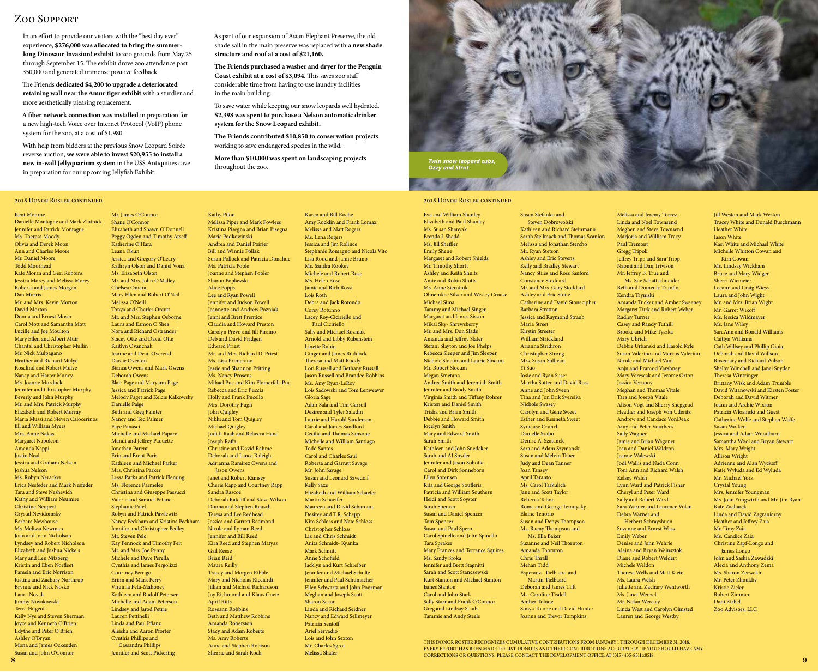# Zoo Support

2018 DONOR ROSTER CONTINUED

Danielle Montagne and Mark Zlotnick Jennifer and Patrick Montague Ms. Theresa Moody Olivia and Derek Moon

Kent Monroe

In an effort to provide our visitors with the "best day ever" experience, \$276,000 was allocated to bring the summerlong Dinosaur Invasion! exhibit to zoo grounds from May 25 through September 15. The exhibit drove zoo attendance past 350,000 and generated immense positive feedback.

The Friends dedicated \$4,200 to upgrade a deteriorated retaining wall near the Amur tiger exhibit with a sturdier and more aesthetically pleasing replacement.

A fiber network connection was installed in preparation for a new high-tech Voice over Internet Protocol (VoIP) phone system for the zoo, at a cost of \$1,980.

With help from bidders at the previous Snow Leopard Soirée reverse auction, we were able to invest \$20,955 to install a new in-wall Jellyquarium system in the USS Antiquities cave in preparation for our upcoming Jellyfish Exhibit.

> Mr. James O'Connor Shane O'Connor

Katherine O'Hara Leana Okun

Chelsea Omara

Melissa O'Neill

Kaitlyn Ovanchak

Darcie Overton

Deborah Owens

Danielle Paige

Faye Panasci

Jonathan Parent

Stephanie Patel

Mr. Steven Pelc

Courtney Perrigo

Lauren Pettinelli

# As part of our expansion of Asian Elephant Preserve, the old shade sail in the main preserve was replaced with a new shade structure and roof at a cost of \$21,160.

The Friends purchased a washer and dryer for the Penguin Coast exhibit at a cost of \$3,094. This saves zoo staff considerable time from having to use laundry facilities in the main building.

To save water while keeping our snow leopards well hydrated, \$2,398 was spent to purchase a Nelson automatic drinker system for the Snow Leopard exhibit.

The Friends contributed \$10,850 to conservation projects working to save endangered species in the wild.

Karen and Bill Roche

More than \$10,000 was spent on landscaping projects *Twin snow leopard cubs,*<br>throughout the zoo. *Ozzy and Strut* 



# 2018 DONOR ROSTER CONTINUED

Ann and Charles Moore Mr. Daniel Moore Todd Moorhead Kate Moran and Geri Robbins Jessica Morey and Melissa Morey Roberta and James Morgan Dan Morris Mr. and Mrs. Kevin Morton David Morton Donna and Ernest Moser Carol Mott and Samantha Mott Lucille and Joe Moulton Mary Ellen and Albert Muir Chantal and Christopher Mullin Mr. Nick Mulpagano Heather and Richard Mulye Rosalind and Robert Mulye Nancy and Harter Muncy Ms. Joanne Murdock Jennifer and Christopher Murphy Beverly and John Murphy Mr. and Mrs. Patrick Murphy Elizabeth and Robert Murray Maria Mussi and Steven Calocerinos Jill and William Myers Mrs. Anne Nakas Margaret Napoleon Amanda Nappi Justin Neal Jessica and Graham Nelson Joshua Nelson Ms. Robyn Neracker Erica Nesfeder and Mark Nesfeder Tara and Steve Neshevich Kathy and William Neumire Christine Neupert Crystal Nevidomsky Barbara Newhouse Ms. Melissa Newman Joan and John Nicholson Lyndsey and Robert Nicholson Elizabeth and Joshua Nickels Mary and Len Nitzberg Kristin and Eben Norfleet Pamela and Eric Norrison Justina and Zachary Northrup Brynne and Nick Nosko Laura Novak Jimmy Novakowski Terra Nugent Kelly Nye and Steven Sherman Joyce and Kenneth O'Brien Edythe and Peter O'Brien Ashley O'Bryan Mona and James Ockenden Susan and John O'Connor

8

Elizabeth and Shawn O'Donnell Peggy Ogden and Timothy Atseff Jessica and Gregory O'Leary Kathryn Olson and Daniel Vona Ms. Elizabeth Olson Mr. and Mrs. John O'Malley Mary Ellen and Robert O'Neil Tonya and Charles Orcutt Mr. and Mrs. Stephen Osborne Laura and Eamon O'Shea Nora and Richard Ostrander Stacey Otte and David Otte Jeanne and Dean Overend Bianca Owens and Mark Owens Blair Page and Maryann Page Jessica and Patrick Page Melody Paget and Kelcie Kalkowsky Beth and Greg Painter Nancy and Ted Palmer Michelle and Michael Paparo Mandi and Jeffrey Paquette Erin and Brent Paris Kathleen and Michael Parker Mrs. Christina Parker Lessa Parks and Patrick Fleming Ms. Florence Parmelee Christina and Giuseppe Passucci Valerie and Samuel Patane Robyn and Patrick Pawlewitz Nancy Peckham and Kristina Peckham Jennifer and Christopher Pedley Kay Pennock and Timothy Feit Mr. and Mrs. Joe Penny Michele and Dave Perella Cynthia and James Pergolizzi Erinn and Mark Perry Virginia Peta-Mahoney Kathleen and Rudolf Petersen Michelle and Adam Peterson Lindsey and Jarod Petrie Linda and Paul Pflanz Aleisha and Aaron Pforter Cynthia Phillips and Cassandra Phillips Jennifer and Scott Pickering Kristina Pisegna and Brian Pisegna Marie Podkowinski Andrea and Daniel Poirier Bill and Winnie Pollak Susan Pollock and Patricia Donahue Ms. Patricia Poole Joanne and Stephen Pooler Sharon Poplawski Alice Popps Lee and Ryan Powell Jennifer and Judson Powell Jeannette and Andrew Pozniak Jenni and Brett Prentice Claudia and Howard Preston Carolyn Prevo and Jill Piraino Deb and David Pridgen Edward Priest Mr. and Mrs. Richard D. Priest Ms. Lisa Primerano Jessie and Shannon Pritting Ms. Nancy Proseus Mihael Puc and Kim Flomerfelt-Puc Rebecca and Eric Puccia Holly and Frank Pucello Mrs. Dorothy Pugh John Quigley Nikki and Tom Quigley Michael Quigley Judith Raab and Rebecca Hand Joseph Raffa Christine and David Rahme Deborah and Lance Raleigh Adrianna Ramirez Owens and Jason Owens Janet and Robert Ramsey Cherie Rapp and Courtney Rapp Sandra Rascoe Deborah Ratcliff and Steve Wilson Donna and Stephen Rausch Teresa and Lee Redhead Jessica and Garrett Redmond Nicole and Lyman Reed Jennifer and Bill Reed Kira Reed and Stephen Matyas Gail Reese Brian Reid Maura Reilly Tracey and Morgen Ribble Mary and Nicholas Ricciardi Jillian and Michael Richardson Joy Richmond and Klaus Goetz April Ritts Roseann Robbins Beth and Matthew Robbins Amanda Roberston Stacy and Adam Roberts Ms. Amy Roberts Anne and Stephen Robison Sherrie and Sarah Roch

Kathy Pilon

Melissa Piper and Mark Powless Amy Rocklin and Frank Lomax Melissa and Matt Rogers Ms. Lena Rogers Jessica and Jim Rolince Stephanie Romagno and Nicola Vito Lisa Rood and Jamie Bruno Ms. Sandra Rookey Michele and Robert Rose Ms. Helen Rose Jamie and Rich Rossi Lois Roth Debra and Jack Rotondo Corey Rotunno Lacey Roy-Ciciriello and Paul Ciciriello Sally and Michael Rozniak Arnold and Libby Rubenstein Linette Rubin Ginger and James Ruddock Theresa and Matt Ruddy Lori Russell and Bethany Russell Jason Russell and Brandee Robbins Ms. Amy Ryan-LeRoy Lois Sadowski and Tom Lenweaver Gloria Sage Adair Sala and Tim Carroll Desiree and Tyler Saladin Laurie and Harold Sanderson Carol and James Sandford Cecilia and Thomas Sansone Michelle and William Santiago Todd Santos Carol and Charles Saul Roberta and Garratt Savage Mr. John Savage Susan and Leonard Savedoff Kelly Saxe Elizabeth and William Schaefer Martin Schaeffer Maureen and David Scharoun Desiree and T.R. Schepp Kim Schloss and Nate Schloss Christopher Schloss Liz and Chris Schmidt Anita Schmidt- Kyanka Mark Schmitt Anne Schofield Jacklyn and Kurt Schreiber Jennifer and Michael Schultz Jennifer and Paul Schumacher Ellen Schwartz and John Poorman Meghan and Joseph Scott Sharon Secor Linda and Richard Seidner Nancy and Edward Sellmeyer Patricia Sentoff Ariel Servadio Lois and John Sexton Mr. Charles Sgroi Melissa Shafer

Eva and William Shanley Elizabeth and Paul Shanley Ms. Susan Shanyak Brenda J. Shedd Ms. Jill Sheffler Emily Shene Margaret and Robert Shields Mr. Timothy Shortt Ashley and Keith Shults Amie and Robin Shutts Ms. Anne Sierotnik Ohnemkee Silver and Wesley Crouse Michael Sima Tammy and Michael Singer Margaret and James Sisson Mikal Sky- Shrewsberry Mr. and Mrs. Don Slade Amanda and Jeffrey Slater Stefani Slayton and Joe Phelps Rebecca Sleeper and Jim Sleeper Nichole Slocum and Laurie Slocum Mr. Robert Slocum Megan Smetana Andrea Smith and Jeremiah Smith Jennifer and Brody Smith Virginia Smith and Tiffany Rohrer Kristen and Daniel Smith Trisha and Brian Smith Debbie and Howard Smith Jocelyn Smith Mary and Edward Smith Sarah Smith Kathleen and John Snedeker Sarah and AJ Snyder Jennifer and Jason Sobotka Carol and Dirk Sonneborn Ellen Sorensen Rita and George Soufleris Patricia and William Southern Heidi and Scott Soyster Sarah Spencer Susan and Daniel Spencer Tom Spencer Susan and Paul Spero Carol Spinello and John Spinello Tara Spraker Mary Frances and Terrance Squires Ms. Sandy Sroka Jennifer and Brett Stagnitti Sarah and Scott Stanczewski Kurt Stanton and Michael Stanton James Stanton Carol and John Stark Sally Starr and Frank O'Connor Greg and Lindsay Staub Tammie and Andy Steele

Susen Stefanko and Steven Dobrowolski Kathleen and Richard Steinmann Sarah Stellmack and Thomas Scanlon Melissa and Jonathan Stercho Mr. Ryan Stetson Ashley and Eric Stevens Kelly and Bradley Stewart Nancy Stiles and Ross Sanford Constance Stoddard Mr. and Mrs. Gary Stoddard Ashley and Eric Stone Catherine and David Stonecipher Barbara Stratton Jessica and Raymond Straub Maria Street Kirstin Streeter William Strickland Arianna Stridiron Christopher Strong Mrs. Susan Sullivan Yi Suo Josie and Ryan Suser Martha Sutter and David Ross Anne and John Sveen Tina and Jon Erik Svereika Nichole Swasey Carolyn and Gene Sweet Esther and Kenneth Sweet Syracuse Crunch Danielle Szabo Denise A. Szatanek Sara and Adam Szymanski Susan and Melvin Taber Judy and Dean Tanner Joan Tansey April Taranto Ms. Carol Tarkulich Jane and Scott Taylor Rebecca Tehon Roma and George Temnycky Elaine Tenorio Susan and Denys Thompson Ms. Raeny Thompson and Ms. Ella Baker Suzanne and Neil Thornton Amanda Thornton Chris Thrall Mehan Tidd Esperanza Tielbaard and Martin Tielbaard Deborah and James Tifft Ms. Caroline Tisdell Amber Tolone Sonya Tolone and David Hunter Joanna and Trevor Tompkins

Melissa and Jeremy Torrez Linda and Noel Townsend Meghen and Steve Townsend Marjoria and William Tracy Paul Tremont Gregg Tripoli Jeffrey Tripp and Sara Tripp Naomi and Dan Trivison Mr. Jeffrey B. True and Ms. Sue Schattschneider Beth and Domenic Trunfio Kendra Tryniski Amanda Tucker and Amber Sweeney Margaret Turk and Robert Weber Radley Turner Casey and Randy Tuthill Brooke and Mike Tyszka Mary Ubrich Debbie Urbanski and Harold Kyle Susan Valerino and Marcus Valerino Nicole and Michael Vant Anju and Pramod Varshney Mary Verescak and Jerome Orton Jessica Vernooy Meghan and Thomas Vitale Tara and Joseph Vitale Alison Vogt and Sherry Sheggrud Heather and Joseph Von Uderitz Andrew and Candace VonDeak Amy and Peter Voorhees Sally Wagner Jamie and Brian Wagoner Jean and Daniel Waldron Jeanne Walewski Jodi Wallis and Nada Conn Toni Ann and Richard Walsh Kelsey Walsh Lynn Ward and Patrick Fisher Cheryl and Peter Ward Sally and Robert Ward Sara Warner and Laurence Volan Debra Warner and Herbert Schrayshuen Suzanne and Ernest Wass Emily Weber Denise and John Wehrle Alaina and Bryan Weinsztok Diane and Robert Weldert Michele Weldon Theresa Wells and Matt Klein Ms. Laura Welsh Juliette and Zachary Wentworth Ms. Janet Wenzel Mr. Nolan Wereley Linda West and Carolyn Olmsted Lauren and George Westby

Jill Weston and Mark Weston Tracey White and Donald Buschmann Heather White Jason White Kasi White and Michael White Michelle Whitton Cowan and Kim Cowan Ms. Lindsay Wickham Bruce and Mary Widger Sherri Wiemeier Leeann and Craig Wiess Laura and John Wight Mr. and Mrs. Brian Wight Mr. Garret Wikoff Ms. Jessica Wildmayer Ms. Jane Wiley SaraAnn and Ronald Williams Caitlyn Williams Cath Willsey and Phillip Gioia Deborah and David Willson Rosemary and Richard Wilson Shelby Winchell and Janel Snyder Theresa Wintringer Brittany Wisk and Adam Trumble David Witanowski and Kirsten Foster Deborah and David Witmer Joann and Archie Wixson Patricia Wlosinski and Guest Catherine Wolfe and Stephen Wolfe Susan Wolken Jessica and Adam Woodburn Samantha Wool and Bryan Stewart Mrs. Mary Wright Allison Wright Adrienne and Alan Wyckoff Katie Wyluda and Ed Wyluda Mr. Michael York Crystal Young Mrs. Jennifer Youngman Ms. Joan Yungwirth and Mr. Jim Ryan Kate Zacharek Linda and David Zagraniczny Heather and Jeffrey Zaia Mr. Tony Zaia Ms. Candice Zaia Christine Zapf-Longo and James Longo John and Saskia Zawadzki Alecia and Anthony Zema Ms. Sharon Zerwekh Mr. Peter Zhoukliy Kristie Zieler Robert Zimmer Dani Zirbel Zoo Advisors, LLC

THIS DONOR ROSTER RECOGNIZES CUMULATIVE CONTRIBUTIONS FROM JANUARY 1 THROUGH DECEMBER 31, 2018. EVERY EFFORT HAS BEEN MADE TO LIST DONORS AND THEIR CONTRIBUTIONS ACCURATELY. IF YOU SHOULD HAVE ANY CORRECTIONS OR QUESTIONS, PLEASE CONTACT THE DEVELOPMENT OFFICE AT (315) 435-8511 X8518.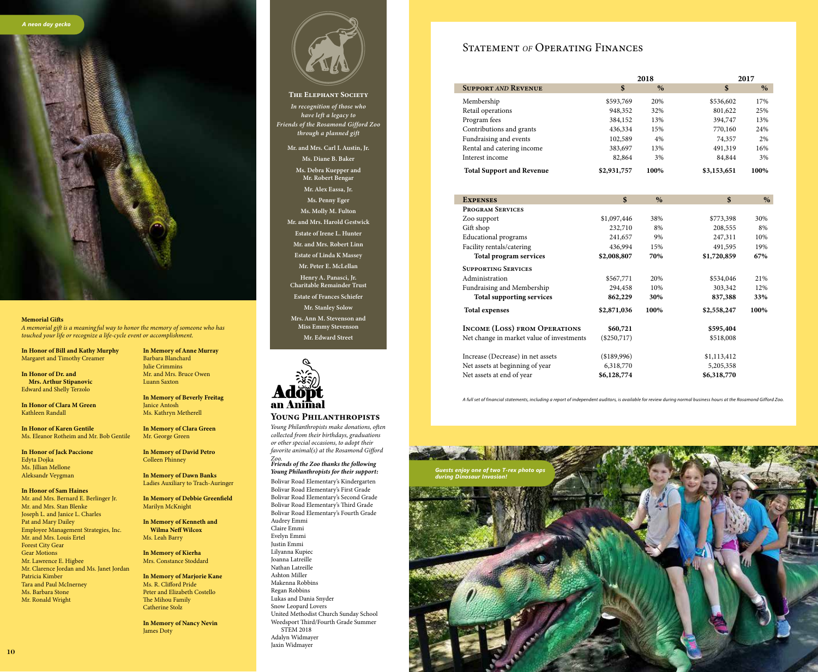

## Memorial Gifts

*A memorial gift is a meaningful way to honor the memory of someone who has touched your life or recognize a life-cycle event or accomplishment.*

In Honor of Bill and Kathy Murphy Margaret and Timothy Creamer

In Honor of Dr. and Mrs. Arthur Stipanovic Edward and Shelly Terzolo

In Honor of Clara M Green Kathleen Randall

In Honor of Karen Gentile Ms. Eleanor Rotheim and Mr. Bob Gentile

In Honor of Jack Paccione Edyta Dojka Ms. Jillian Mellone Aleksandr Veygman

In Honor of Sam Haines Mr. and Mrs. Bernard E. Berlinger Jr. Mr. and Mrs. Stan Blenke Joseph L. and Janice L. Charles Pat and Mary Dailey Employee Management Strategies, Inc. Mr. and Mrs. Louis Ertel Forest City Gear Gear Motions Mr. Lawrence E. Higbee Mr. Clarence Jordan and Ms. Janet Jordan Patricia Kimber Tara and Paul McInerney Ms. Barbara Stone Mr. Ronald Wright

In Memory of Anne Murray Barbara Blanchard Julie Crimmins Mr. and Mrs. Bruce Owen Luann Saxton

In Memory of Beverly Freitag Janice Antosh Ms. Kathryn Metherell

In Memory of Clara Green Mr. George Green

In Memory of David Petro Colleen Phinney

In Memory of Dawn Banks Ladies Auxiliary to Trach-Auringer

In Memory of Debbie Greenfield Marilyn McKnight

In Memory of Kenneth and Wilma Neff Wilcox Ms. Leah Barry

In Memory of Kierha Mrs. Constance Stoddard

In Memory of Marjorie Kane Ms. R. Clifford Pride Peter and Elizabeth Costello The Mihou Family Catherine Stolz

In Memory of Nancy Nevin James Doty

The Elephant Society *In recognition of those who have left a legacy to Friends of the Rosamond Gifford Zoo through a planned gift* Mr. and Mrs. Carl I. Austin, Jr. Ms. Diane B. Baker Ms. Debra Kuepper and Mr. Robert Bengar Mr. Alex Eassa, Jr. Ms. Penny Eger Ms. Molly M. Fulton Mr. and Mrs. Harold Gestwick Estate of Irene L. Hunter Mr. and Mrs. Robert Linn Estate of Linda K Massey Mr. Peter E. McLellan Henry A. Panasci, Jr. Charitable Remainder Trust Estate of Frances Schiefer Mr. Stanley Solow Mrs. Ann M. Stevenson and Miss Emmy Stevenson Mr. Edward Street



# Young Philanthropists

*Young Philanthropists make donations, often collected from their birthdays, graduations or other special occasions, to adopt their favorite animal(s) at the Rosamond Gifford* 

*Zoo. Friends of the Zoo thanks the following Young Philanthropists for their support:* 

Bolivar Road Elementary's Kindergarten Bolivar Road Elementary's First Grade Bolivar Road Elementary's Second Grade Bolivar Road Elementary's Third Grade Bolivar Road Elementary's Fourth Grade

Audrey Emmi Claire Emmi Evelyn Emmi Justin Emmi Lilyanna Kupiec Joanna Latreille Nathan Latreille Ashton Miller Makenna Robbins Regan Robbins Lukas and Dania Snyder Snow Leopard Lovers United Methodist Church Sunday School Weedsport Third/Fourth Grade Summer STEM 2018 Adalyn Widmayer Jaxin Widmayer

# Statement *of* Operating Finances

F

Г

|                                           | 2018                      |      |             | 2017 |  |
|-------------------------------------------|---------------------------|------|-------------|------|--|
| <b>SUPPORT AND REVENUE</b>                | \$                        | $\%$ | \$          | $\%$ |  |
| Membership                                | \$593,769                 | 20%  | \$536,602   | 17%  |  |
| Retail operations                         | 948,352                   | 32%  | 801,622     | 25%  |  |
| Program fees                              | 384,152                   | 13%  | 394,747     | 13%  |  |
| Contributions and grants                  | 436,334                   | 15%  | 770,160     | 24%  |  |
| Fundraising and events                    | 102,589                   | 4%   | 74,357      | 2%   |  |
| Rental and catering income                | 383,697                   | 13%  | 491,319     | 16%  |  |
| Interest income                           | 82,864                    | 3%   | 84,844      | 3%   |  |
| <b>Total Support and Revenue</b>          | \$2,931,757               | 100% | \$3,153,651 | 100% |  |
|                                           |                           |      |             |      |  |
| <b>EXPENSES</b>                           | $\boldsymbol{\mathsf{s}}$ | $\%$ | \$          | $\%$ |  |
| <b>PROGRAM SERVICES</b>                   |                           |      |             |      |  |
| Zoo support                               | \$1,097,446               | 38%  | \$773,398   | 30%  |  |
| Gift shop                                 | 232,710                   | 8%   | 208,555     | 8%   |  |
| <b>Educational</b> programs               | 241,657                   | 9%   | 247,311     | 10%  |  |
| Facility rentals/catering                 | 436,994                   | 15%  | 491,595     | 19%  |  |
| Total program services                    | \$2,008,807               | 70%  | \$1,720,859 | 67%  |  |
| <b>SUPPORTING SERVICES</b>                |                           |      |             |      |  |
| Administration                            | \$567,771                 | 20%  | \$534,046   | 21%  |  |
| Fundraising and Membership                | 294,458                   | 10%  | 303,342     | 12%  |  |
| <b>Total supporting services</b>          | 862,229                   | 30%  | 837,388     | 33%  |  |
| <b>Total expenses</b>                     | \$2,871,036               | 100% | \$2,558,247 | 100% |  |
| <b>INCOME (LOSS) FROM OPERATIONS</b>      | \$60,721                  |      | \$595,404   |      |  |
| Net change in market value of investments | $(\$250,717)$             |      | \$518,008   |      |  |
| Increase (Decrease) in net assets         | (\$189,996)               |      | \$1,113,412 |      |  |
| Net assets at beginning of year           | 6,318,770                 |      | 5,205,358   |      |  |
| Net assets at end of year                 | \$6,128,774               |      | \$6,318,770 |      |  |

*A full set of financial statements, including a report of independent auditors, is available for review during normal business hours at the Rosamond Gifford Zoo.*